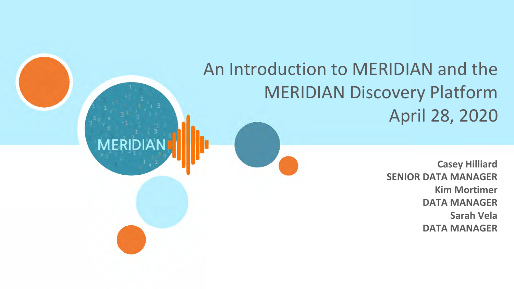# An Introduction to MERIDIAN and the MERIDIAN Discovery Platform April 28, 2020

**MERIDI** 

**Casey Hilliard SENIOR DATA MANAGER Kim Mortimer DATA MANAGER Sarah Vela DATA MANAGER**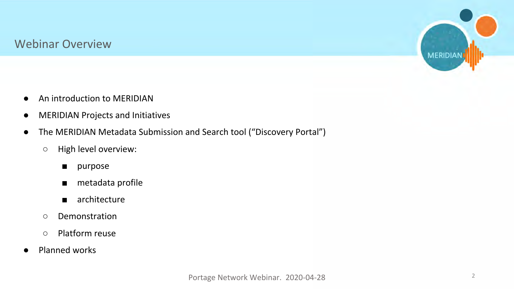#### Webinar Overview



- An introduction to MERIDIAN
- MERIDIAN Projects and Initiatives
- The MERIDIAN Metadata Submission and Search tool ("Discovery Portal")
	- High level overview:
		- purpose
		- metadata profile
		- architecture
	- Demonstration
	- Platform reuse
- Planned works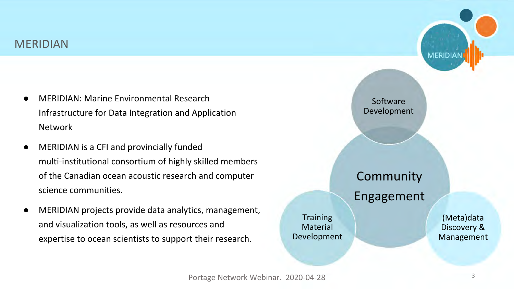

- MERIDIAN: Marine Environmental Research Infrastructure for Data Integration and Application Network
- MERIDIAN is a CFI and provincially funded multi-institutional consortium of highly skilled members of the Canadian ocean acoustic research and computer science communities.
- MERIDIAN projects provide data analytics, management, and visualization tools, as well as resources and expertise to ocean scientists to support their research.

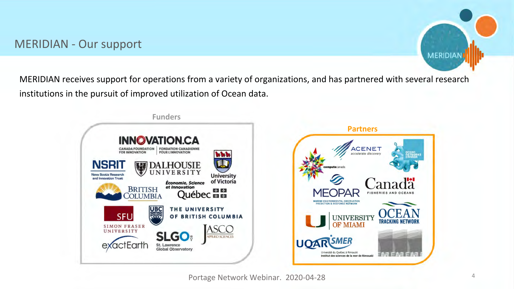### MERIDIAN - Our support



MERIDIAN receives support for operations from a variety of organizations, and has partnered with several research institutions in the pursuit of improved utilization of Ocean data.



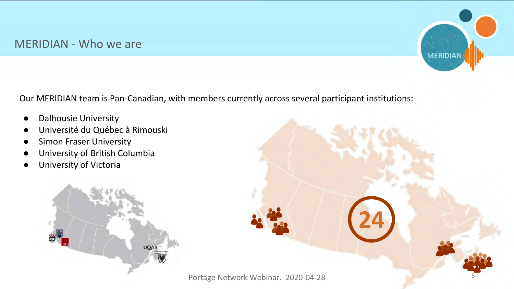#### MERIDIAN - Who we are



Our MERIDIAN team is Pan-Canadian, with members currently across several participant institutions:

- Dalhousie University
- Université du Québec à Rimouski
- **•** Simon Fraser University
- University of British Columbia
- University of Victoria



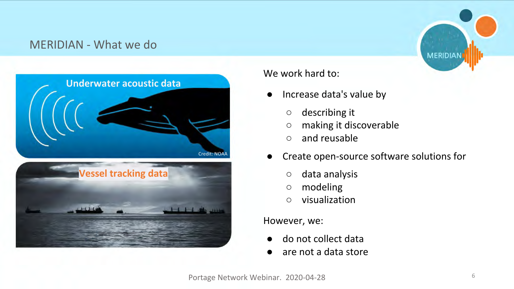## MERIDIAN - What we do



#### We work hard to:

- Increase data's value by
	- describing it
	- making it discoverable
	- and reusable
- Create open-source software solutions for
	- data analysis
	- modeling
	- visualization

#### However, we:

- do not collect data
- are not a data store

**MERIDIAN**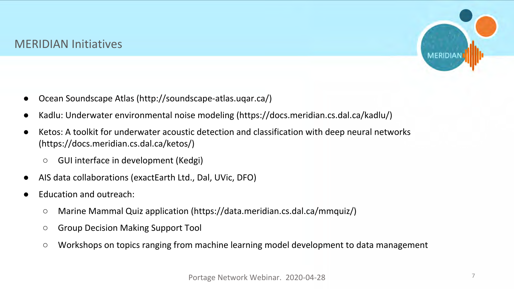#### MERIDIAN Initiatives



- Ocean Soundscape Atlas (http://soundscape-atlas.uqar.ca/)
- Kadlu: Underwater environmental noise modeling (https://docs.meridian.cs.dal.ca/kadlu/)
- Ketos: A toolkit for underwater acoustic detection and classification with deep neural networks (https://docs.meridian.cs.dal.ca/ketos/)
	- GUI interface in development (Kedgi)
- AIS data collaborations (exactEarth Ltd., Dal, UVic, DFO)
- Education and outreach:
	- Marine Mammal Quiz application (https://data.meridian.cs.dal.ca/mmquiz/)
	- Group Decision Making Support Tool
	- Workshops on topics ranging from machine learning model development to data management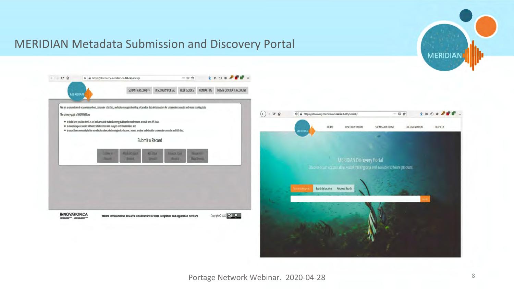#### MERIDIAN Metadata Submission and Discovery Portal



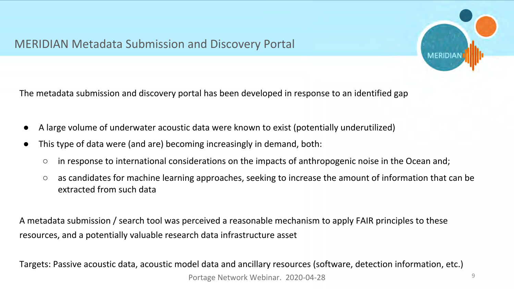## MERIDIAN Metadata Submission and Discovery Portal



The metadata submission and discovery portal has been developed in response to an identified gap

- A large volume of underwater acoustic data were known to exist (potentially underutilized)
- This type of data were (and are) becoming increasingly in demand, both:
	- in response to international considerations on the impacts of anthropogenic noise in the Ocean and;
	- as candidates for machine learning approaches, seeking to increase the amount of information that can be extracted from such data

A metadata submission / search tool was perceived a reasonable mechanism to apply FAIR principles to these resources, and a potentially valuable research data infrastructure asset

Targets: Passive acoustic data, acoustic model data and ancillary resources (software, detection information, etc.) Portage Network Webinar. 2020-04-28 9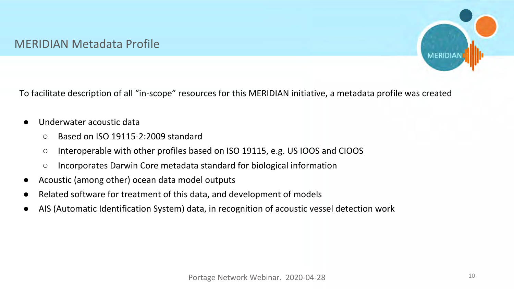### MERIDIAN Metadata Profile



To facilitate description of all "in-scope" resources for this MERIDIAN initiative, a metadata profile was created

- Underwater acoustic data
	- Based on ISO 19115-2:2009 standard
	- Interoperable with other profiles based on ISO 19115, e.g. US IOOS and CIOOS
	- Incorporates Darwin Core metadata standard for biological information
- Acoustic (among other) ocean data model outputs
- Related software for treatment of this data, and development of models
- AIS (Automatic Identification System) data, in recognition of acoustic vessel detection work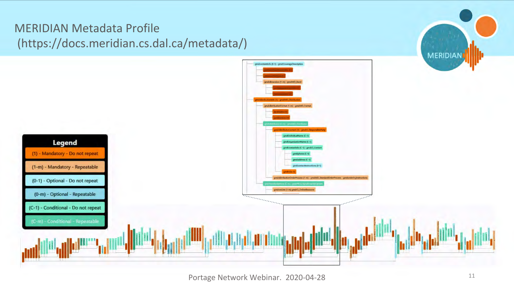# MERIDIAN Metadata Profile (https://docs.meridian.cs.dal.ca/metadata/)

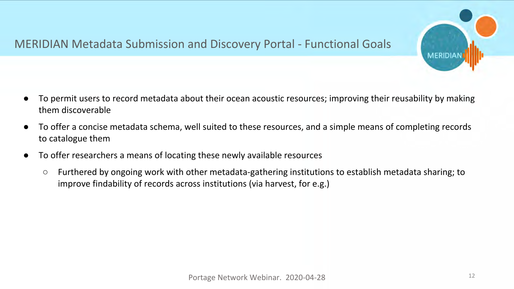## MERIDIAN Metadata Submission and Discovery Portal - Functional Goals

- To permit users to record metadata about their ocean acoustic resources; improving their reusability by making them discoverable
- To offer a concise metadata schema, well suited to these resources, and a simple means of completing records to catalogue them
- To offer researchers a means of locating these newly available resources
	- Furthered by ongoing work with other metadata-gathering institutions to establish metadata sharing; to improve findability of records across institutions (via harvest, for e.g.)

**MERIDIA**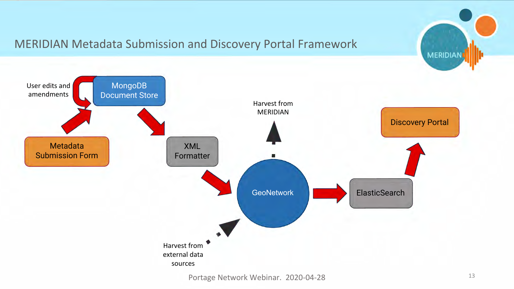

## MERIDIAN Metadata Submission and Discovery Portal Framework

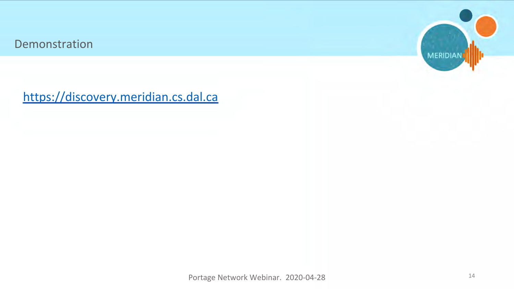Demonstration



<https://discovery.meridian.cs.dal.ca>

Portage Network Webinar. 2020-04-28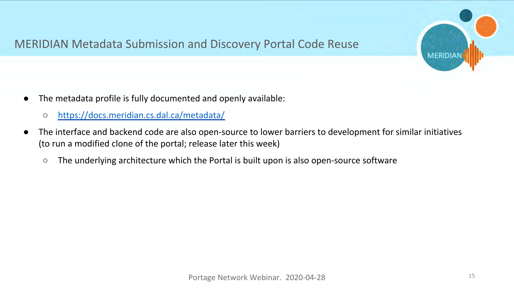

## MERIDIAN Metadata Submission and Discovery Portal Code Reuse

- The metadata profile is fully documented and openly available:
	- <https://docs.meridian.cs.dal.ca/metadata/>
- The interface and backend code are also open-source to lower barriers to development for similar initiatives (to run a modified clone of the portal; release later this week)
	- The underlying architecture which the Portal is built upon is also open-source software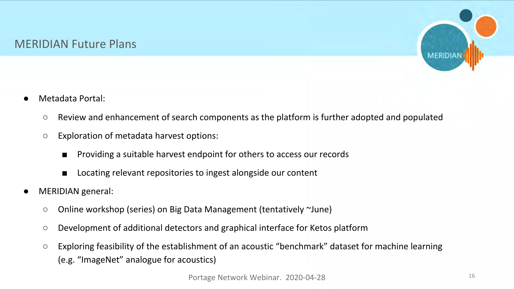### MERIDIAN Future Plans



- Metadata Portal:
	- Review and enhancement of search components as the platform is further adopted and populated
	- Exploration of metadata harvest options:
		- Providing a suitable harvest endpoint for others to access our records
		- Locating relevant repositories to ingest alongside our content
- MERIDIAN general:
	- Online workshop (series) on Big Data Management (tentatively ~June)
	- Development of additional detectors and graphical interface for Ketos platform
	- Exploring feasibility of the establishment of an acoustic "benchmark" dataset for machine learning (e.g. "ImageNet" analogue for acoustics)